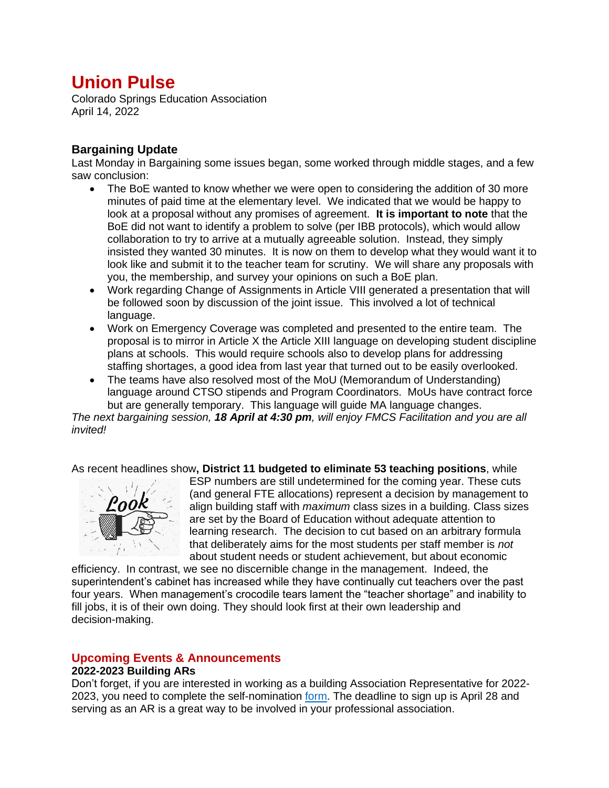# **Union Pulse**

Colorado Springs Education Association April 14, 2022

## **Bargaining Update**

Last Monday in Bargaining some issues began, some worked through middle stages, and a few saw conclusion:

- The BoE wanted to know whether we were open to considering the addition of 30 more minutes of paid time at the elementary level. We indicated that we would be happy to look at a proposal without any promises of agreement. **It is important to note** that the BoE did not want to identify a problem to solve (per IBB protocols), which would allow collaboration to try to arrive at a mutually agreeable solution. Instead, they simply insisted they wanted 30 minutes. It is now on them to develop what they would want it to look like and submit it to the teacher team for scrutiny. We will share any proposals with you, the membership, and survey your opinions on such a BoE plan.
- Work regarding Change of Assignments in Article VIII generated a presentation that will be followed soon by discussion of the joint issue. This involved a lot of technical language.
- Work on Emergency Coverage was completed and presented to the entire team. The proposal is to mirror in Article X the Article XIII language on developing student discipline plans at schools. This would require schools also to develop plans for addressing staffing shortages, a good idea from last year that turned out to be easily overlooked.
- The teams have also resolved most of the MoU (Memorandum of Understanding) language around CTSO stipends and Program Coordinators. MoUs have contract force but are generally temporary. This language will guide MA language changes.

*The next bargaining session, 18 April at 4:30 pm, will enjoy FMCS Facilitation and you are all invited!*

As recent headlines show**, District 11 budgeted to eliminate 53 teaching positions**, while



ESP numbers are still undetermined for the coming year. These cuts (and general FTE allocations) represent a decision by management to align building staff with *maximum* class sizes in a building. Class sizes are set by the Board of Education without adequate attention to learning research. The decision to cut based on an arbitrary formula that deliberately aims for the most students per staff member is *not* about student needs or student achievement, but about economic

efficiency. In contrast, we see no discernible change in the management. Indeed, the superintendent's cabinet has increased while they have continually cut teachers over the past four years. When management's crocodile tears lament the "teacher shortage" and inability to fill jobs, it is of their own doing. They should look first at their own leadership and decision-making.

# **Upcoming Events & Announcements**

### **2022-2023 Building ARs**

Don't forget, if you are interested in working as a building Association Representative for 2022- 2023, you need to complete the self-nomination [form.](https://forms.gle/mxFiZue3zm1oyJcL8) The deadline to sign up is April 28 and serving as an AR is a great way to be involved in your professional association.